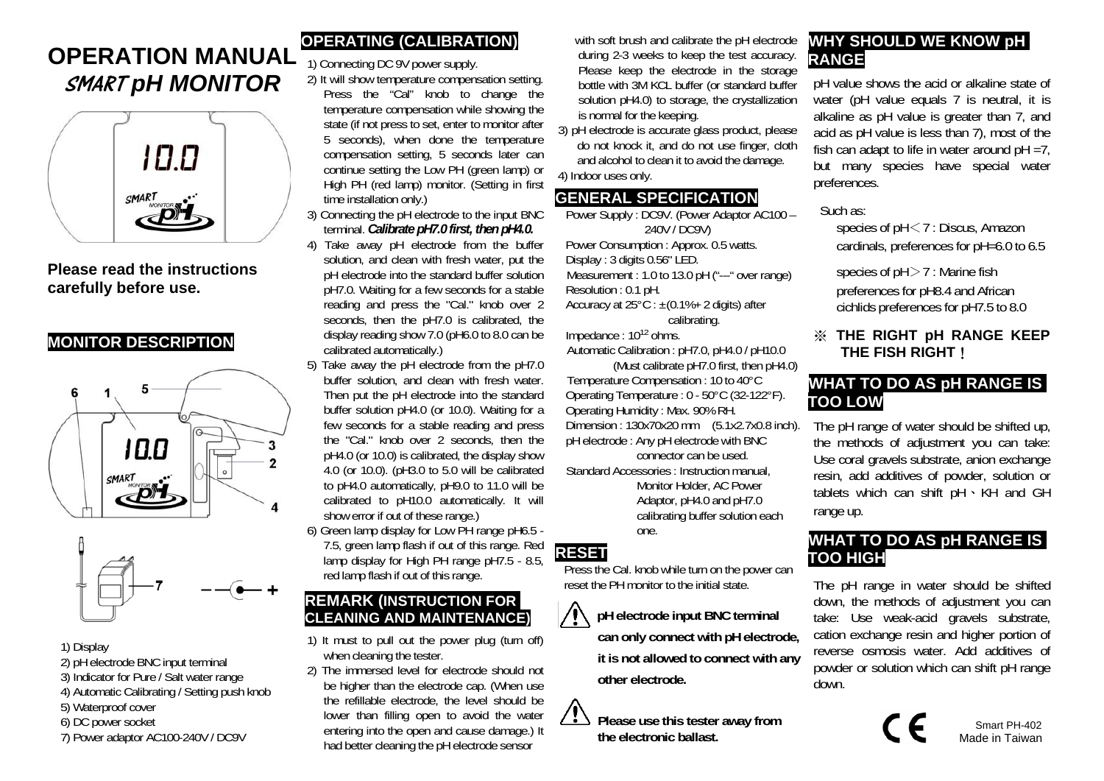# **OPERATION MANUAL**  SMART *pH MONITOR*



**Please read the instructions carefully before use.** 

## **MONITOR DESCRIPTION**





#### 1) Display

- 2) pH electrode BNC input terminal
- 3) Indicator for Pure / Salt water range
- 4) Automatic Calibrating / Setting push knob
- 5) Waterproof cover
- 6) DC power socket
- 7) Power adaptor AC100-240V / DC9V

# **OPERATING (CALIBRATION)**

1) Connecting DC 9V power supply.

- 2) It will show temperature compensation setting. Press the "Cal" knob to change the temperature compensation while showing the state (if not press to set, enter to monitor after 5 seconds), when done the temperature compensation setting, 5 seconds later can continue setting the Low PH (green lamp) or High PH (red lamp) monitor. (Setting in first time installation only.)
- 3) Connecting the pH electrode to the input BNC terminal. *Calibrate pH7.0 first, then pH4.0.*
- 4) Take away pH electrode from the buffer solution, and clean with fresh water, put the pH electrode into the standard buffer solution pH7.0. Waiting for a few seconds for a stable reading and press the "Cal." knob over 2 seconds, then the pH7.0 is calibrated, the display reading show 7.0 (pH6.0 to 8.0 can be calibrated automatically.)
- 5) Take away the pH electrode from the pH7.0 buffer solution, and clean with fresh water. Then put the pH electrode into the standard buffer solution pH4.0 (or 10.0). Waiting for a few seconds for a stable reading and press the "Cal." knob over 2 seconds, then the pH4.0 (or 10.0) is calibrated, the display show 4.0 (or 10.0). (pH3.0 to 5.0 will be calibrated to pH4.0 automatically, pH9.0 to 11.0 will be calibrated to pH10.0 automatically. It will show error if out of these range.)
- 6) Green lamp display for Low PH range pH6.5 7.5, green lamp flash if out of this range. Red lamp display for High PH range pH7.5 - 8.5, red lamp flash if out of this range.

## **REMARK (INSTRUCTION FOR CLEANING AND MAINTENANCE)**

- 1) It must to pull out the power plug (turn off) when cleaning the tester.
- 2) The immersed level for electrode should not be higher than the electrode cap. (When use the refillable electrode, the level should be lower than filling open to avoid the water entering into the open and cause damage.) It had better cleaning the pH electrode sensor

with soft brush and calibrate the pH electrode during 2-3 weeks to keep the test accuracy. Please keep the electrode in the storage bottle with 3M KCL buffer (or standard buffer solution pH4.0) to storage, the crystallization is normal for the keeping.

3) pH electrode is accurate glass product, please do not knock it, and do not use finger, cloth and alcohol to clean it to avoid the damage. 4) Indoor uses only.

## **GENERAL SPECIFICATION**

Power Supply : DC9V. (Power Adaptor AC100 – 240V / DC9V) Power Consumption : Approx. 0.5 watts. Display : 3 digits 0.56" LED. Measurement : 1.0 to 13.0 pH ("---" over range) Resolution : 0.1 pH. Accuracy at  $25^{\circ}$ C :  $\pm$ (0.1%+ 2 digits) after calibrating.

Impedance : 1012 ohms.

Automatic Calibration : pH7.0, pH4.0 / pH10.0 (Must calibrate pH7.0 first, then pH4.0)

Temperature Compensation : 10 to 40°C Operating Temperature : 0 - 50°C (32-122°F). Operating Humidity : Max. 90% RH. Dimension : 130x70x20 mm (5.1x2.7x0.8 inch). pH electrode : Any pH electrode with BNC

connector can be used. Standard Accessories : Instruction manual,

> Monitor Holder, AC Power Adaptor, pH4.0 and pH7.0 calibrating buffer solution each one.

## **RESET**

 $\bigwedge$ 

Press the Cal. knob while turn on the power can reset the PH monitor to the initial state.

> **pH electrode input BNC terminal can only connect with pH electrode, it is not allowed to connect with any other electrode.**

*<u>13</u>* Please use this tester away from **the electronic ballast.**

# **WHY SHOULD WE KNOW pH RANGE**

pH value shows the acid or alkaline state of water (pH value equals 7 is neutral, it is alkaline as pH value is greater than 7, and acid as pH value is less than 7), most of the fish can adapt to life in water around  $pH = 7$ , but many species have special water preferences.

#### Such as:

species of pH <7 : Discus, Amazon cardinals, preferences for pH=6.0 to 6.5

species of pH >7 : Marine fish preferences for pH8.4 and African cichlids preferences for pH7.5 to 8.0

## ※ **THE RIGHT pH RANGE KEEP THE FISH RIGHT**!

# **WHAT TO DO AS pH RANGE IS TOO LOW**

The pH range of water should be shifted up, the methods of adjustment you can take: Use coral gravels substrate, anion exchange resin, add additives of powder, solution or tablets which can shift pH、KH and GH range up.

# **WHAT TO DO AS pH RANGE IS TOO HIGH**

The pH range in water should be shifted down, the methods of adjustment you can take: Use weak-acid gravels substrate, cation exchange resin and higher portion of reverse osmosis water. Add additives of powder or solution which can shift pH range down.

 $\sum_{\text{Mode in Teivons}}$ Made in Taiwan